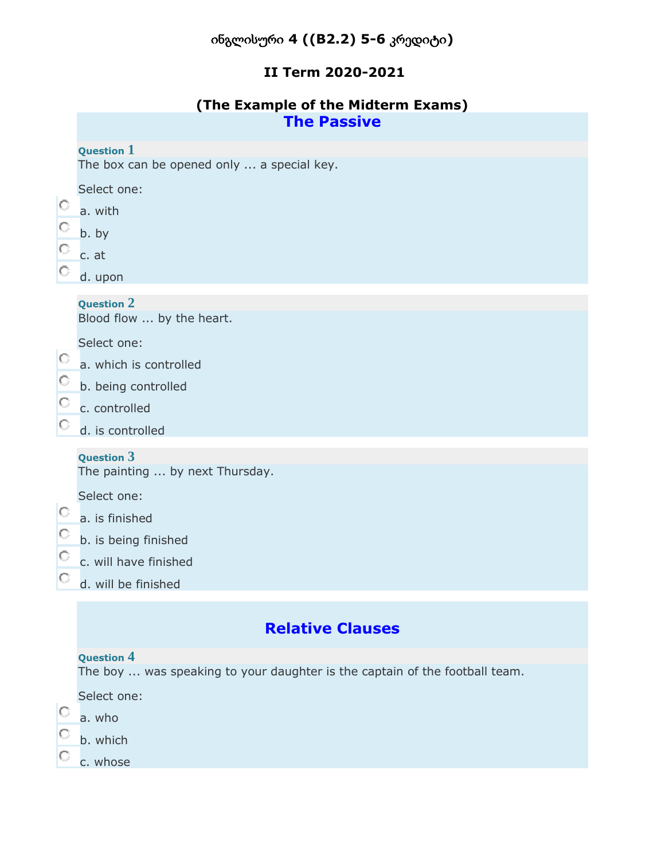## ინგლისური **4 ((B2.2) 5-6** კრედიტი**)**

#### **II Term 2020-2021**

| (The Example of the Midterm Exams) |                    |  |
|------------------------------------|--------------------|--|
|                                    | <b>The Passive</b> |  |

#### **Question 1**

The box can be opened only ... a special key.

|  | Select one: |
|--|-------------|
|  |             |

- 0 a. with
- $\circ$ b. by
- О. c. at
- О. d. upon

#### **Question 2**

Blood flow ... by the heart.

Select one:

- a. which is controlled
- О. b. being controlled
- 0. c. controlled
- О. d. is controlled

#### **Question 3**

The painting ... by next Thursday.

Select one:

- a. is finished
- b. is being finished
- $\circ$ c. will have finished
- О. d. will be finished

# **Relative Clauses**

#### **Question 4**

The boy ... was speaking to your daughter is the captain of the football team.

Select one:

- 0. a. who
- 0. b. which
- О c. whose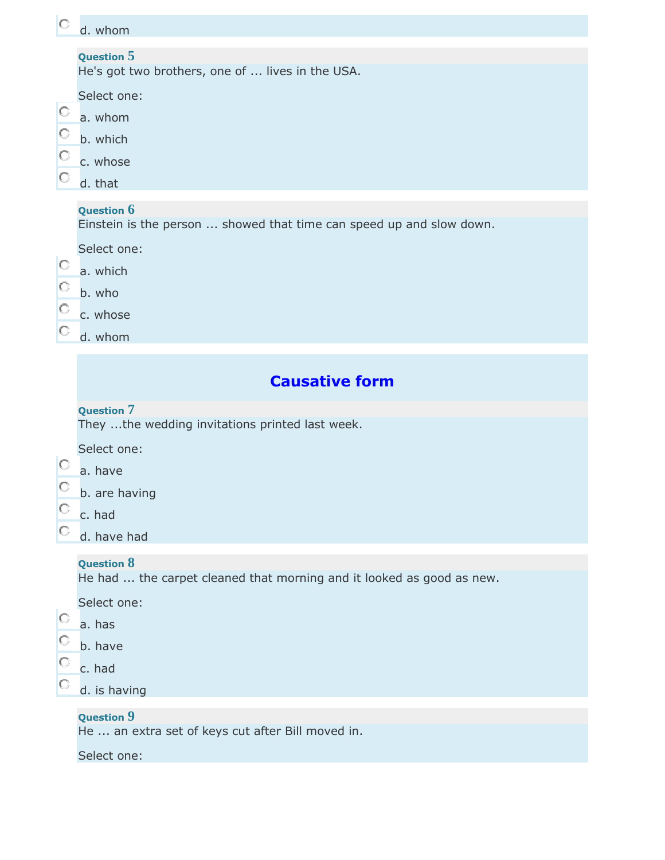| IO                     | d. whom                                                                                                                                               |
|------------------------|-------------------------------------------------------------------------------------------------------------------------------------------------------|
| $\circ$<br>O<br>О<br>O | <b>Question 5</b><br>He's got two brothers, one of  lives in the USA.<br>Select one:<br>a. whom<br>b. which<br>c. whose<br>d. that                    |
| О<br>O<br>O<br>O       | <b>Question 6</b><br>Einstein is the person  showed that time can speed up and slow down.<br>Select one:<br>a. which<br>b. who<br>c. whose<br>d. whom |
|                        | <b>Causative form</b>                                                                                                                                 |
| $\circ$<br>O<br>O<br>O | <b>Question 7</b><br>They the wedding invitations printed last week.<br>Select one:<br>a. have<br>b. are having<br>c. had<br>d. have had              |
|                        | <b>Question 8</b><br>He had  the carpet cleaned that morning and it looked as good as new.<br>Select one:                                             |

- a. has
- $\overline{\text{O}}$  b. have
- $\circ$  c. had
- $\overline{C}$  d. is having

#### **Question 9**

He ... an extra set of keys cut after Bill moved in.

#### Select one: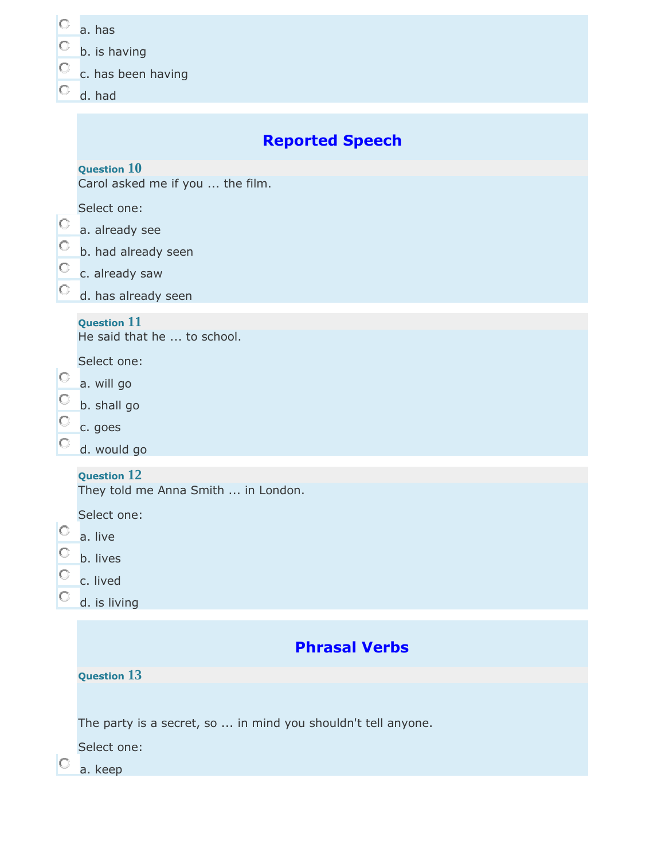| O<br>$\circ$                             | a. has<br>b. is having<br>c. has been having                                                                                                            |
|------------------------------------------|---------------------------------------------------------------------------------------------------------------------------------------------------------|
| O                                        | d. had<br><b>Reported Speech</b>                                                                                                                        |
| $\circ$<br>$\circ$<br>$\circ$<br>$\circ$ | <b>Question 10</b><br>Carol asked me if you  the film.<br>Select one:<br>a. already see<br>b. had already seen<br>c. already saw<br>d. has already seen |
| O<br>$\circ$<br>O                        | <b>Question 11</b><br>He said that he  to school.<br>Select one:<br>a. will go<br>b. shall go<br>c. goes<br>d. would go                                 |
| $\circ$<br>$\frac{1}{\overline{1}}$      | <b>Question 12</b><br>They told me Anna Smith  in London.<br>Select one:<br>a. live<br>b. lives<br>c. lived<br>d. is living                             |
|                                          | <b>Phrasal Verbs</b><br><b>Question 13</b>                                                                                                              |
|                                          | The party is a secret, so  in mind you shouldn't tell anyone.<br>Select one:<br>a. keep                                                                 |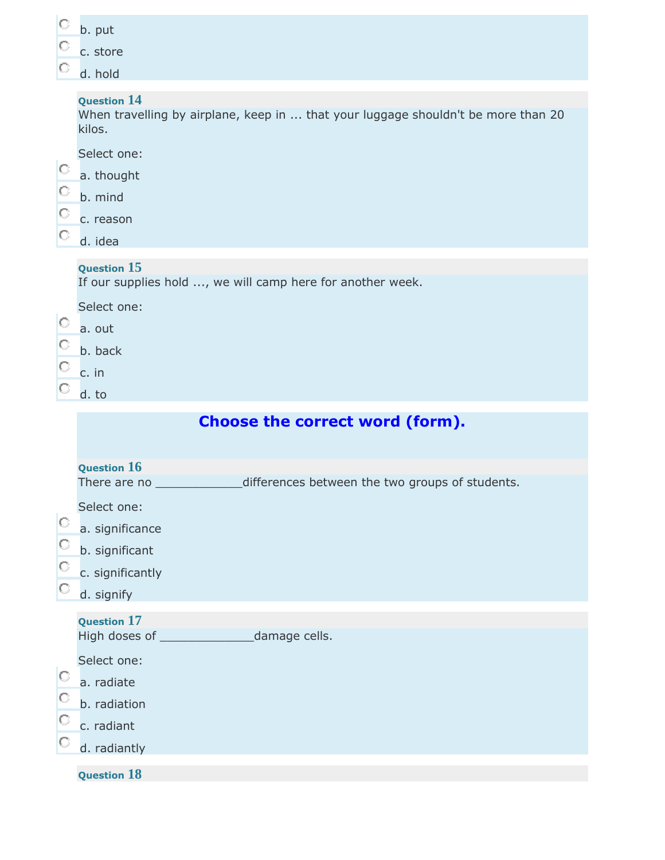|         | b. put                                                                                                            |
|---------|-------------------------------------------------------------------------------------------------------------------|
|         | c. store                                                                                                          |
|         | d. hold                                                                                                           |
|         | <b>Question 14</b><br>When travelling by airplane, keep in  that your luggage shouldn't be more than 20<br>kilos. |
|         | Select one:                                                                                                       |
| O       | a. thought                                                                                                        |
| O       | b. mind                                                                                                           |
| O       | c. reason                                                                                                         |
| O       | d. idea                                                                                                           |
|         | <b>Question 15</b><br>If our supplies hold , we will camp here for another week.                                  |
|         | Select one:                                                                                                       |
| O       | a. out                                                                                                            |
| $\circ$ | b. back                                                                                                           |
|         | c. in                                                                                                             |
|         | d. to                                                                                                             |
|         | <b>Choose the correct word (form).</b>                                                                            |
|         |                                                                                                                   |
|         | Question $16$                                                                                                     |
|         | differences between the two groups of students.<br>There are no ____                                              |
| O       | Select one:                                                                                                       |
| O       | a. significance                                                                                                   |
|         | b. significant                                                                                                    |

- $\overline{\text{c}}$  c. significantly
- d. signify

# **Question 17**

High doses of \_\_\_\_\_\_\_\_\_\_\_\_\_\_\_\_\_\_\_\_\_\_damage cells.

Select one:

- $\overline{\text{a}}$ . radiate
- $\circ$ b. radiation
- $\circ$ c. radiant
- $\circ$ d. radiantly

# **Question 18**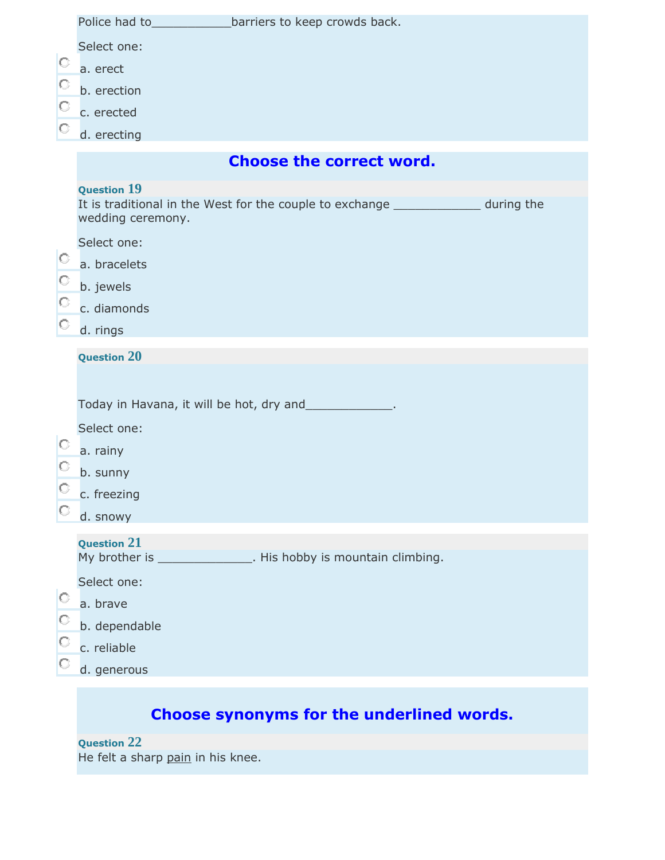| $\circ$<br>O.<br>O | Select one:                             |                                                                                      |  |
|--------------------|-----------------------------------------|--------------------------------------------------------------------------------------|--|
|                    | a. erect                                |                                                                                      |  |
|                    | b. erection                             |                                                                                      |  |
|                    | c. erected                              |                                                                                      |  |
| O                  | d. erecting                             |                                                                                      |  |
|                    |                                         | <b>Choose the correct word.</b>                                                      |  |
|                    | <b>Question 19</b><br>wedding ceremony. | It is traditional in the West for the couple to exchange ________________ during the |  |
| O.<br>$\circ$      | Select one:                             |                                                                                      |  |
|                    | a. bracelets                            |                                                                                      |  |
|                    | b. jewels                               |                                                                                      |  |
| O<br>O             | c. diamonds                             |                                                                                      |  |
|                    | d. rings                                |                                                                                      |  |
|                    | <b>Question 20</b>                      |                                                                                      |  |
|                    |                                         |                                                                                      |  |
|                    |                                         | Today in Havana, it will be hot, dry and______________.                              |  |
| $\circ$            | Select one:                             |                                                                                      |  |
| O                  | a. rainy                                |                                                                                      |  |
| О                  | b. sunny                                |                                                                                      |  |
|                    | c. freezing                             |                                                                                      |  |
|                    | d. snowy                                |                                                                                      |  |
|                    | <b>Question 21</b>                      | My brother is ________________. His hobby is mountain climbing.                      |  |
|                    | Select one:                             |                                                                                      |  |
| O                  | a. brave                                |                                                                                      |  |
| $\circ$            | b. dependable                           |                                                                                      |  |
| O                  | c. reliable                             |                                                                                      |  |
|                    | d. generous                             |                                                                                      |  |

# **Choose synonyms for the underlined words.**

#### **Question 22**

He felt a sharp pain in his knee.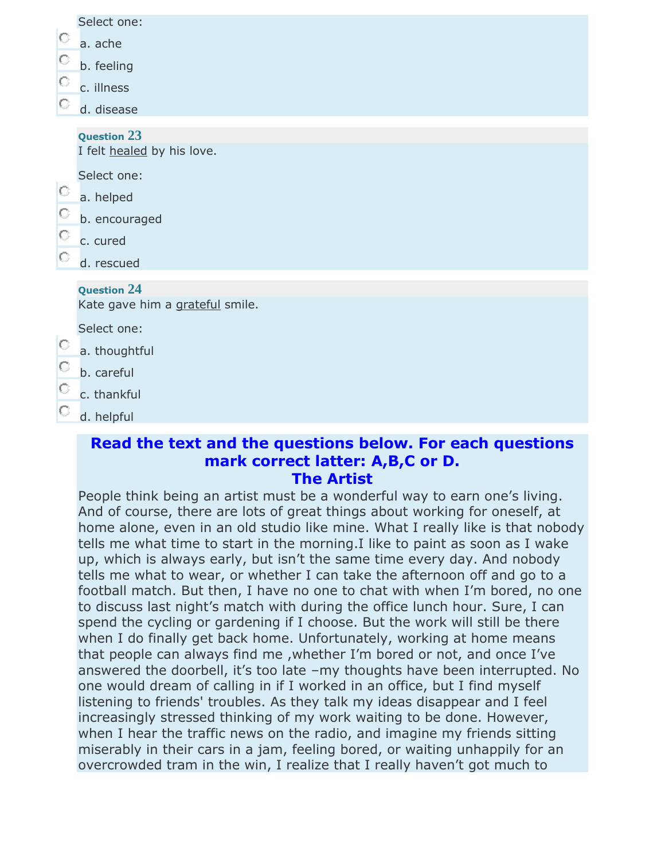|  |  | Select one: |  |
|--|--|-------------|--|
|--|--|-------------|--|

- a. ache
- b. feeling
- O c. illness
- O d. disease

**Question 23**

I felt healed by his love.

Select one:

- 0. a. helped
- О b. encouraged
- О c. cured
- d. rescued

#### **Question 24**

Kate gave him a grateful smile.

Select one:

- O a. thoughtful
- O b. careful
- 0. c. thankful
- 0. d. helpful

#### **Read the text and the questions below. For each questions mark correct latter: A,B,C or D. The Artist**

People think being an artist must be a wonderful way to earn one's living. And of course, there are lots of great things about working for oneself, at home alone, even in an old studio like mine. What I really like is that nobody tells me what time to start in the morning.I like to paint as soon as I wake up, which is always early, but isn't the same time every day. And nobody tells me what to wear, or whether I can take the afternoon off and go to a football match. But then, I have no one to chat with when I'm bored, no one to discuss last night's match with during the office lunch hour. Sure, I can spend the cycling or gardening if I choose. But the work will still be there when I do finally get back home. Unfortunately, working at home means that people can always find me ,whether I'm bored or not, and once I've answered the doorbell, it's too late –my thoughts have been interrupted. No one would dream of calling in if I worked in an office, but I find myself listening to friends' troubles. As they talk my ideas disappear and I feel increasingly stressed thinking of my work waiting to be done. However, when I hear the traffic news on the radio, and imagine my friends sitting miserably in their cars in a jam, feeling bored, or waiting unhappily for an overcrowded tram in the win, I realize that I really haven't got much to